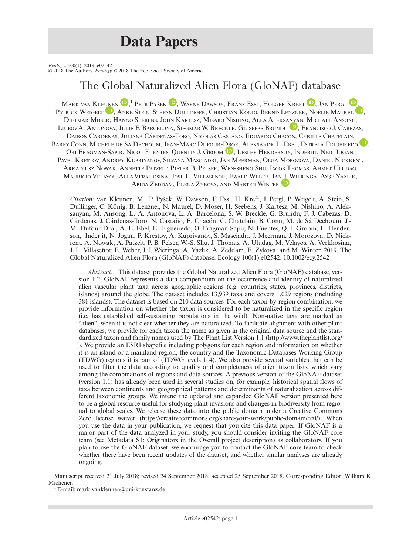## Data Papers

Ecology, 100(1), 2019, e02542<br>© 2018 The Authors. Ecology © 2018 The Ecological Society of America

## The Global Naturalized Alien Flora (GloNAF) database

MARK VA[N](http://orcid.org/0000-0002-2861-3701) [K](http://orcid.org/0000-0001-8500-442X)[L](http://orcid.org/0000-0002-0045-1974)EUNEN  $\mathbb{D},^1$  Petr Pyšek  $\mathbb{D},$  Wayne Dawson, Franz Essl, Holger Kreft  $\mathbb{D},$  Jan Pergl  $\mathbb{D},$ PATRICK WEIGELT <sup>D</sup>, ANKE STEIN, STEFAN DULLINGER, CHRISTIAN KÖNIG, BERND LENZNER, NOËLIE MAUREL <sup>D</sup>, DIETMAR MOSER, HANNO SEEBENS, JOHN KARTESZ, MISAKO NISHINO, ALLA ALEKSANYAN, MICHAEL ANSONG, LIUBOVA. ANTONOVA, JULIE F. BARCELONA, SIEGMAR W. BRECKLE, GIUSEPPE BRUNDU **D**, FRANCISCO J. CABEZAS, DAIRON CÁRDENAS, JULIANA CÁRDENAS-TORO, NICOLÁS CASTAÑO, EDUARDO CHACÓN, CYRILLE CHATELAIN, BARRY CONN, MICHELE DE SÁ DECHOUM, JEAN-MARC DUFOUR-DROR, ALEKSANDR L. EBEL, ESTRELA FIGUEIREDO **D**, ORI FRAG[M](http://orcid.org/0000-0002-0596-5376)AN-SAPIR, NICOL FUENTES, QUENTIN J. GROOM <sup>D</sup>, LESLEY HENDERSON, INDERJIT, NEJC JOGAN, PAVEL KRESTOV, ANDREY KUPRIYANOV, SILVANA MASCIADRI, JAN MEERMAN, OLGA MOROZOVA, DANIEL NICKRENT, ARKADIUSZ NOWAK, ANNETTE PATZELT, PIETER B. PELSER, WEN-SHENG SHU, JACOB THOMAS, AHMET ULUDAG, MAURICIO VELAYOS, ALLA VERKHOSINA, JOSÉ L. VILLASEÑOR, EWALD WEBER, JAN J. WIERINGA, AYŞE YAZLIK, ABIDA ZEDDAM, ELENA ZYKOVA, AND MARTEN WINTER

Citation: van Kleunen, M., P. Pysek, W. Dawson, F. Essl, H. Kreft, J. Pergl, P. Weigelt, A. Stein, S. Dullinger, C. König, B. Lenzner, N. Maurel, D. Moser, H. Seebens, J. Kartesz, M. Nishino, A. Aleksanyan, M. Ansong, L. A. Antonova, L. A. Barcelona, S. W. Breckle, G. Brundu, F. J. Cabezas, D. Cárdenas, J. Cárdenas-Toro, N. Castaño, E. Chacón, C. Chatelain, B. Conn, M. de Sá Dechoum, J.-M. Dufour-Dror, A. L. Ebel, E. Figueiredo, O. Fragman-Sapir, N. Fuentes, Q. J. Groom, L. Henderson, Inderjit, N. Jogan, P. Krestov, A. Kupriyanov, S. Masciadri, J. Meerman, J. Morozova, D. Nickrent, A. Nowak, A. Patzelt, P. B. Pelser, W.-S. Shu, J. Thomas, A. Uludag, M. Velayos, A. Verkhosina, J. L. Villaseñor, E. Weber, J. J. Wieringa, A. Yazlık, A. Zeddam, E. Zykova, and M. Winter. 2019. The Global Naturalized Alien Flora (GloNAF) database. Ecology 100(1):e02542. [10.1002/ecy.2542](info:doi/10.1002/ecy.2542)

Abstract. This dataset provides the Global Naturalized Alien Flora (GloNAF) database, version 1.2. GloNAF represents a data compendium on the occurrence and identity of naturalized alien vascular plant taxa across geographic regions (e.g. countries, states, provinces, districts, islands) around the globe. The dataset includes 13,939 taxa and covers 1,029 regions (including 381 islands). The dataset is based on 210 data sources. For each taxon-by-region combination, we provide information on whether the taxon is considered to be naturalized in the specific region (i.e. has established self-sustaining populations in the wild). Non-native taxa are marked as "alien", when it is not clear whether they are naturalized. To facilitate alignment with other plant databases, we provide for each taxon the name as given in the original data source and the standardized taxon and family names used by The Plant List Version 1.1 [\(http://www.theplantlist.org/](http://www.theplantlist.org/) ). We provide an ESRI shapefile including polygons for each region and information on whether it is an island or a mainland region, the country and the Taxonomic Databases Working Group (TDWG) regions it is part of (TDWG levels 1–4). We also provide several variables that can be used to filter the data according to quality and completeness of alien taxon lists, which vary among the combinations of regions and data sources. A previous version of the GloNAF dataset (version 1.1) has already been used in several studies on, for example, historical spatial flows of taxa between continents and geographical patterns and determinants of naturalization across different taxonomic groups. We intend the updated and expanded GloNAF version presented here to be a global resource useful for studying plant invasions and changes in biodiversity from regional to global scales. We release these data into the public domain under a Creative Commons Zero license waiver [\(https://creativecommons.org/share-your-work/public-domain/cc0/](https://creativecommons.org/share-your-work/public-domain/cc0/)). When you use the data in your publication, we request that you cite this data paper. If GloNAF is a major part of the data analyzed in your study, you should consider inviting the GloNAF core team (see Metadata S1: Originators in the Overall project description) as collaborators. If you plan to use the GloNAF dataset, we encourage you to contact the GloNAF core team to check whether there have been recent updates of the dataset, and whether similar analyses are already ongoing.

Manuscript received 21 July 2018; revised 24 September 2018; accepted 25 September 2018. Corresponding Editor: William K. Michener.<br> $1^1$ E-mail: [mark.vankleunen@uni-konstanz.de](mailto:)